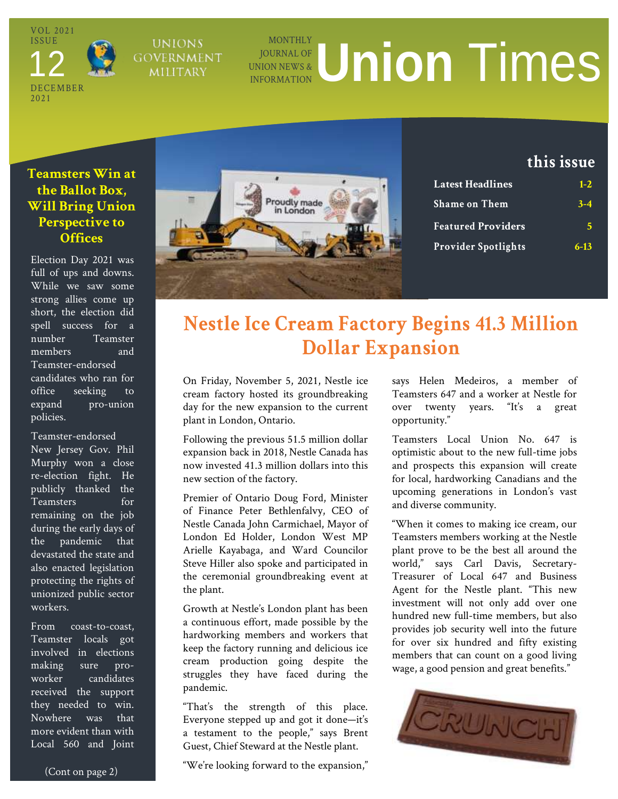VOL 2021 **ISSUE DECEMBER** 20 2 1 12

### **UNIONS GOVERNMENT** MILITARY

## **MONTHLY** JOURNAL OF UNION NEWS & **INFORMATION UNION TIMES**

## **Teamsters Win at the Ballot Box, Will Bring Union Perspective to Offices**

Election Day 2021 was full of ups and downs. While we saw some strong allies come up short, the election did spell success for a number Teamster members and Teamster-endorsed candidates who ran for office seeking to expand pro-union policies.

Teamster-endorsed New Jersey Gov. Phil Murphy won a close re-election fight. He publicly thanked the Teamsters for remaining on the job during the early days of the pandemic that devastated the state and also enacted legislation protecting the rights of unionized public sector workers.

From coast-to-coast, Teamster locals got involved in elections making sure proworker candidates received the support they needed to win. Nowhere was that more evident than with Local 560 and Joint



## **this issue**

| <b>Latest Headlines</b>    | $1 - 2.$ |
|----------------------------|----------|
| <b>Shame on Them</b>       | $3 - 4$  |
| <b>Featured Providers</b>  | 5        |
| <b>Provider Spotlights</b> | $6 - 13$ |

# **Nestle Ice Cream Factory Begins 41.3 Million Dollar Expansion**

On Friday, November 5, 2021, Nestle ice cream factory hosted its groundbreaking day for the new expansion to the current plant in London, Ontario.

Following the previous 51.5 million dollar expansion back in 2018, Nestle Canada has now invested 41.3 million dollars into this new section of the factory.

Premier of Ontario Doug Ford, Minister of Finance Peter Bethlenfalvy, CEO of Nestle Canada John Carmichael, Mayor of London Ed Holder, London West MP Arielle Kayabaga, and Ward Councilor Steve Hiller also spoke and participated in the ceremonial groundbreaking event at the plant.

Growth at Nestle's London plant has been a continuous effort, made possible by the hardworking members and workers that keep the factory running and delicious ice cream production going despite the struggles they have faced during the pandemic.

"That's the strength of this place. Everyone stepped up and got it done—it's a testament to the people," says Brent Guest, Chief Steward at the Nestle plant.

"We're looking forward to the expansion,"

says Helen Medeiros, a member of Teamsters 647 and a worker at Nestle for over twenty years. "It's a great opportunity."

Teamsters Local Union No. 647 is optimistic about to the new full-time jobs and prospects this expansion will create for local, hardworking Canadians and the upcoming generations in London's vast and diverse community.

"When it comes to making ice cream, our Teamsters members working at the Nestle plant prove to be the best all around the world," says Carl Davis, Secretary-Treasurer of Local 647 and Business Agent for the Nestle plant. "This new investment will not only add over one hundred new full-time members, but also provides job security well into the future for over six hundred and fifty existing members that can count on a good living wage, a good pension and great benefits."

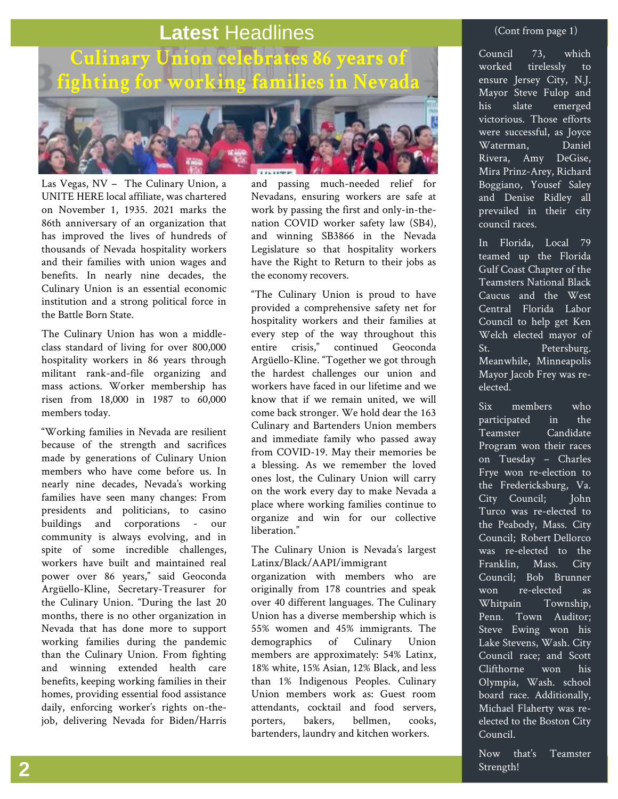# **Latest** Headlines



Las Vegas, NV – The Culinary Union, a UNITE HERE local affiliate, was chartered on November 1, 1935. 2021 marks the 86th anniversary of an organization that has improved the lives of hundreds of thousands of Nevada hospitality workers and their families with union wages and benefits. In nearly nine decades, the Culinary Union is an essential economic institution and a strong political force in the Battle Born State.

The Culinary Union has won a middleclass standard of living for over 800,000 hospitality workers in 86 years through militant rank-and-file organizing and mass actions. Worker membership has risen from 18,000 in 1987 to 60,000 members today.

"Working families in Nevada are resilient because of the strength and sacrifices made by generations of Culinary Union members who have come before us. In nearly nine decades, Nevada's working families have seen many changes: From presidents and politicians, to casino buildings and corporations - our community is always evolving, and in spite of some incredible challenges, workers have built and maintained real power over 86 years," said Geoconda Argüello-Kline, Secretary-Treasurer for the Culinary Union. "During the last 20 months, there is no other organization in Nevada that has done more to support working families during the pandemic than the Culinary Union. From fighting and winning extended health care benefits, keeping working families in their homes, providing essential food assistance daily, enforcing worker's rights on-thejob, delivering Nevada for Biden/Harris

and passing much-needed relief for Nevadans, ensuring workers are safe at work by passing the first and only-in-thenation COVID worker safety law (SB4), and winning SB3866 in the Nevada Legislature so that hospitality workers have the Right to Return to their jobs as the economy recovers.

"The Culinary Union is proud to have provided a comprehensive safety net for hospitality workers and their families at every step of the way throughout this<br>entire crisis." continued Geoconda continued Geoconda Argüello-Kline. "Together we got through the hardest challenges our union and workers have faced in our lifetime and we know that if we remain united, we will come back stronger. We hold dear the 163 Culinary and Bartenders Union members and immediate family who passed away from COVID-19. May their memories be a blessing. As we remember the loved ones lost, the Culinary Union will carry on the work every day to make Nevada a place where working families continue to organize and win for our collective liberation."

The Culinary Union is Nevada's largest Latinx/Black/AAPI/immigrant

organization with members who are originally from 178 countries and speak over 40 different languages. The Culinary Union has a diverse membership which is 55% women and 45% immigrants. The demographics of Culinary Union members are approximately: 54% Latinx, 18% white, 15% Asian, 12% Black, and less than 1% Indigenous Peoples. Culinary Union members work as: Guest room attendants, cocktail and food servers, porters, bakers, bellmen, cooks, bartenders, laundry and kitchen workers.

### (Cont from page 1)

Council 73, which worked tirelessly to ensure Jersey City, N.J. Mayor Steve Fulop and his slate emerged victorious. Those efforts were successful, as Joyce Waterman, Daniel Rivera, Amy DeGise, Mira Prinz-Arey, Richard Boggiano, Yousef Saley and Denise Ridley all prevailed in their city council races.

In Florida, Local 79 teamed up the Florida Gulf Coast Chapter of the Teamsters National Black Caucus and the West Central Florida Labor Council to help get Ken Welch elected mayor of St. Petersburg. Meanwhile, Minneapolis Mayor Jacob Frey was reelected.

Six members who participated in the Teamster Candidate Program won their races on Tuesday – Charles Frye won re-election to the Fredericksburg, Va. City Council; John Turco was re-elected to the Peabody, Mass. City Council; Robert Dellorco was re-elected to the Franklin, Mass. City Council; Bob Brunner won re-elected as Whitpain Township, Penn. Town Auditor; Steve Ewing won his Lake Stevens, Wash. City Council race; and Scott Clifthorne won his Olympia, Wash. school board race. Additionally, Michael Flaherty was reelected to the Boston City Council.

Now that's Teamster  $\bf 2$  . Strength!  $\bf 2$  is the contract of  $\bf 2$  is the contract of  $\bf 2$  is the contract of  $\bf 2$  is the contract of  $\bf 2$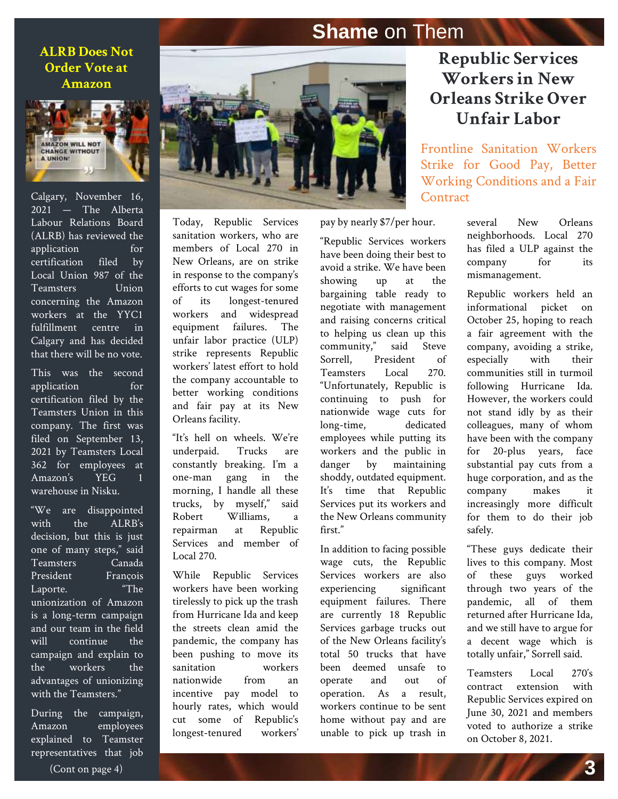## <span id="page-2-0"></span>**Shame** on Them

 **Amazon ALRB Does Not Order Vote at** 



Calgary, November 16, 2021 — The Alberta Labour Relations Board (ALRB) has reviewed the application for certification filed by Local Union 987 of the Teamsters Union concerning the Amazon workers at the YYC1 fulfillment centre in Calgary and has decided that there will be no vote.

This was the second application for certification filed by the Teamsters Union in this company. The first was filed on September 13, 2021 by Teamsters Local 362 for employees at Amazon's YEG 1 warehouse in Nisku.

"We are disappointed with the ALRB's decision, but this is just one of many steps," said Teamsters Canada President François Laporte. "The unionization of Amazon is a long-term campaign and our team in the field will continue the campaign and explain to the workers the advantages of unionizing with the Teamsters."

During the campaign, Amazon employees explained to Teamster representatives that job



Today, Republic Services sanitation workers, who are members of Local 270 in New Orleans, are on strike in response to the company's efforts to cut wages for some of its longest-tenured workers and widespread equipment failures. The unfair labor practice (ULP) strike represents Republic workers' latest effort to hold the company accountable to better working conditions and fair pay at its New Orleans facility.

"It's hell on wheels. We're underpaid. Trucks are constantly breaking. I'm a one-man gang in the morning, I handle all these trucks, by myself," said Robert Williams, a repairman at Republic Services and member of Local 270.

While Republic Services workers have been working tirelessly to pick up the trash from Hurricane Ida and keep the streets clean amid the pandemic, the company has been pushing to move its sanitation workers nationwide from an incentive pay model to hourly rates, which would cut some of Republic's longest-tenured workers' pay by nearly \$7/per hour.

"Republic Services workers have been doing their best to avoid a strike. We have been showing up at the bargaining table ready to negotiate with management and raising concerns critical to helping us clean up this community," said Steve Sorrell, President of Teamsters Local 270. "Unfortunately, Republic is continuing to push for nationwide wage cuts for long-time, dedicated employees while putting its workers and the public in danger by maintaining shoddy, outdated equipment. It's time that Republic Services put its workers and the New Orleans community first."

In addition to facing possible wage cuts, the Republic Services workers are also experiencing significant equipment failures. There are currently 18 Republic Services garbage trucks out of the New Orleans facility's total 50 trucks that have been deemed unsafe to operate and out of operation. As a result, workers continue to be sent home without pay and are unable to pick up trash in

## **Republic Services Workers in New Orleans Strike Over Unfair Labor**

**Practices** Frontline Sanitation Workers Strike for Good Pay, Better Working Conditions and a Fair **Contract** 

> several New Orleans neighborhoods. Local 270 has filed a ULP against the company for its mismanagement.

> Republic workers held an informational picket on October 25, hoping to reach a fair agreement with the company, avoiding a strike, especially with their communities still in turmoil following Hurricane Ida. However, the workers could not stand idly by as their colleagues, many of whom have been with the company for 20-plus years, face substantial pay cuts from a huge corporation, and as the company makes it increasingly more difficult for them to do their job safely.

> "These guys dedicate their lives to this company. Most of these guys worked through two years of the pandemic, all of them returned after Hurricane Ida, and we still have to argue for a decent wage which is totally unfair," Sorrell said.

on October 8, 2021. Teamsters Local 270's contract extension with Republic Services expired on June 30, 2021 and members voted to authorize a strike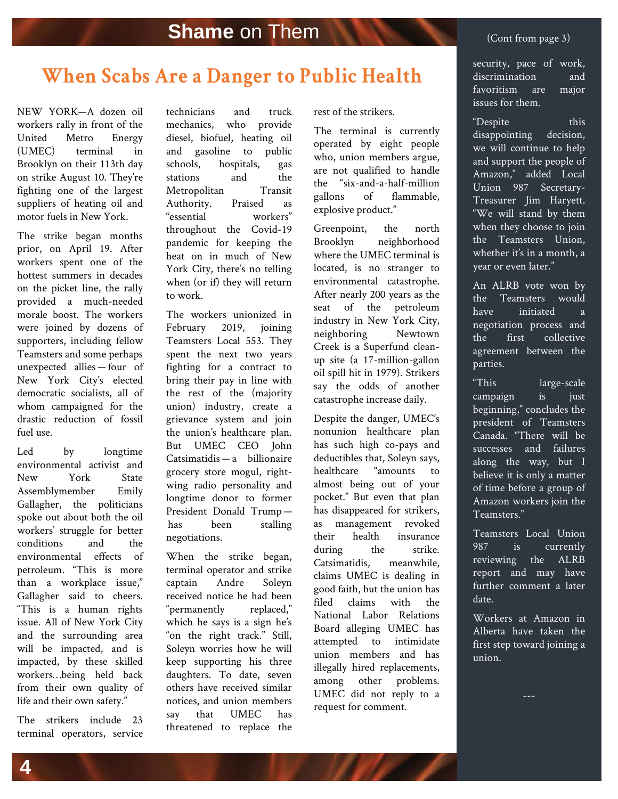### $\frac{1}{2}$   $\frac{1}{2}$   $\frac{1}{2}$   $\frac{1}{2}$   $\frac{1}{2}$   $\frac{1}{2}$   $\frac{1}{2}$   $\frac{1}{2}$   $\frac{1}{2}$   $\frac{1}{2}$   $\frac{1}{2}$   $\frac{1}{2}$   $\frac{1}{2}$   $\frac{1}{2}$   $\frac{1}{2}$   $\frac{1}{2}$   $\frac{1}{2}$   $\frac{1}{2}$   $\frac{1}{2}$   $\frac{1}{2}$   $\frac{1}{2}$   $\frac{1}{2}$  **When Scabs Are a Danger to Public Health**

on strike August 10. They're NEW YORK—A dozen oil workers rally in front of the United Metro Energy (UMEC) terminal in Brooklyn on their 113th day fighting one of the largest suppliers of heating oil and motor fuels in New York.

The strike began months prior, on April 19. After workers spent one of the hottest summers in decades on the picket line, the rally provided a much-needed morale boost. The workers were joined by dozens of supporters, including fellow Teamsters and some perhaps unexpected allies — four of New York City's elected democratic socialists, all of whom campaigned for the drastic reduction of fossil fuel use.

Led by longtime environmental activist and New York State Assemblymember Emily Gallagher, the politicians spoke out about both the oil workers' struggle for better conditions and the environmental effects of petroleum. "This is more than a workplace issue," Gallagher said to cheers. "This is a human rights issue. All of New York City and the surrounding area will be impacted, and is impacted, by these skilled workers…being held back from their own quality of life and their own safety."

The strikers include 23 terminal operators, service technicians and truck mechanics, who provide diesel, biofuel, heating oil and gasoline to public schools, hospitals, gas stations and the Metropolitan Transit Authority. Praised as "essential workers" throughout the Covid-19 pandemic for keeping the heat on in much of New York City, there's no telling when (or if) they will return to work.

The workers unionized in February 2019, joining Teamsters Local 553. They spent the next two years fighting for a contract to bring their pay in line with the rest of the (majority union) industry, create a grievance system and join the union's healthcare plan. But UMEC CEO John Catsimatidis — a billionaire grocery store mogul, rightwing radio personality and longtime donor to former President Donald Trump   has been stalling negotiations.

When the strike began, terminal operator and strike captain Andre Soleyn received notice he had been "permanently replaced," which he says is a sign he's "on the right track." Still, Soleyn worries how he will keep supporting his three daughters. To date, seven others have received similar notices, and union members say that UMEC has threatened to replace the rest of the strikers.

The terminal is currently operated by eight people who, union members argue, are not qualified to handle the "six-and-a-half-million gallons of flammable, explosive product."

Greenpoint, the north Brooklyn neighborhood where the UMEC terminal is located, is no stranger to environmental catastrophe. After nearly 200 years as the seat of the petroleum industry in New York City, neighboring Newtown Creek is a Superfund cleanup site (a 17-million-gallon oil spill hit in 1979). Strikers say the odds of another catastrophe increase daily.

Despite the danger, UMEC's nonunion healthcare plan has such high co-pays and deductibles that, Soleyn says, healthcare "amounts to almost being out of your pocket." But even that plan has disappeared for strikers, as management revoked their health insurance during the strike. Catsimatidis, meanwhile, claims UMEC is dealing in good faith, but the union has filed claims with the National Labor Relations Board alleging UMEC has attempted to intimidate union members and has illegally hired replacements, among other problems. UMEC did not reply to a request for comment.

security, pace of work, discrimination and favoritism are major issues for them.

"Despite this disappointing decision, we will continue to help and support the people of Amazon," added Local Union 987 Secretary-Treasurer Jim Haryett. "We will stand by them when they choose to join the Teamsters Union, whether it's in a month, a year or even later."

An ALRB vote won by the Teamsters would have initiated a negotiation process and the first collective agreement between the parties.

"This large-scale campaign is just beginning," concludes the president of Teamsters Canada. "There will be successes and failures along the way, but I believe it is only a matter of time before a group of Amazon workers join the Teamsters."

Teamsters Local Union 987 is currently reviewing the ALRB report and may have further comment a later date.

Workers at Amazon in Alberta have taken the first step toward joining a union.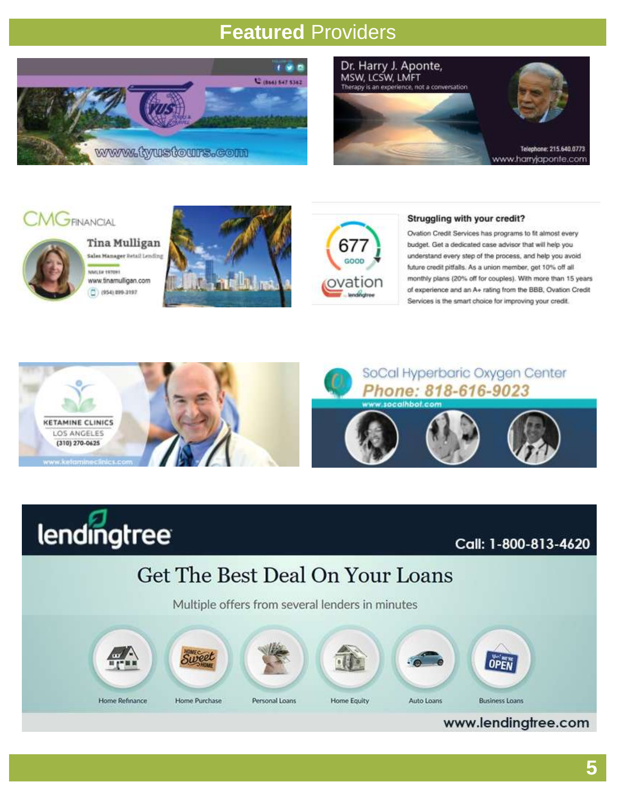# <span id="page-4-0"></span>**Featured** Providers







Tina Mulligan Sales Manager Betail Lending NMLS# 197091 www.tinamulligan.com  $(954) 899-3197$ 





#### Struggling with your credit?

Ovation Credit Services has programs to fit almost every budget. Get a dedicated case advisor that will help you understand every step of the process, and help you avoid future credit pitfalls. As a union member, get 10% off all monthly plans (20% off for couples). With more than 15 years of experience and an A+ rating from the BBB, Ovation Credit Services is the smart choice for improving your credit.





Call: 1-800-813-4620

# Get The Best Deal On Your Loans

Multiple offers from several lenders in minutes



www.lendingtree.com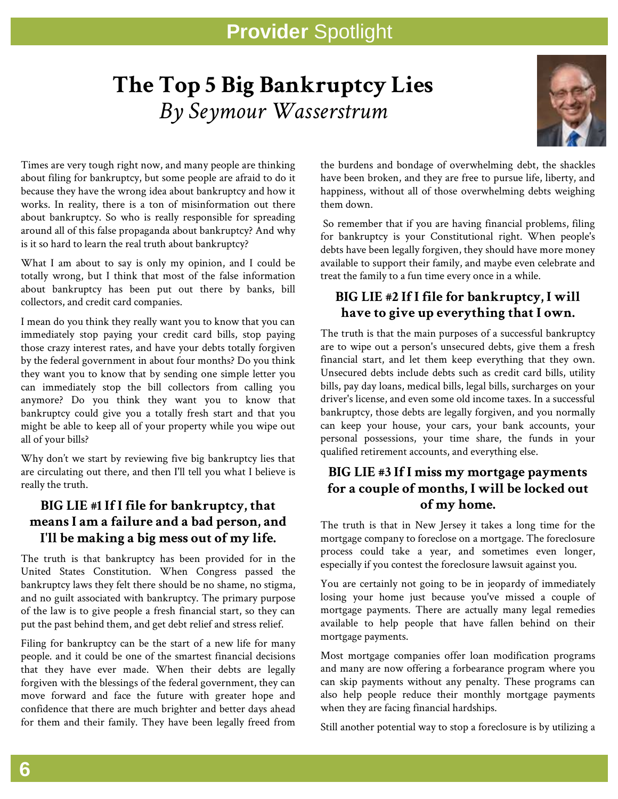# <span id="page-5-0"></span>**The Top 5 Big Bankruptcy Lies** *By Seymour Wasserstrum*



Times are very tough right now, and many people are thinking about filing for bankruptcy, but some people are afraid to do it because they have the wrong idea about bankruptcy and how it works. In reality, there is a ton of misinformation out there about bankruptcy. So who is really responsible for spreading around all of this false propaganda about bankruptcy? And why is it so hard to learn the real truth about bankruptcy?

What I am about to say is only my opinion, and I could be totally wrong, but I think that most of the false information about bankruptcy has been put out there by banks, bill collectors, and credit card companies.

I mean do you think they really want you to know that you can immediately stop paying your credit card bills, stop paying those crazy interest rates, and have your debts totally forgiven by the federal government in about four months? Do you think they want you to know that by sending one simple letter you can immediately stop the bill collectors from calling you anymore? Do you think they want you to know that bankruptcy could give you a totally fresh start and that you might be able to keep all of your property while you wipe out all of your bills?

Why don't we start by reviewing five big bankruptcy lies that are circulating out there, and then I'll tell you what I believe is really the truth.

## **BIG LIE #1 If I file for bankruptcy, that means I am a failure and a bad person, and I'll be making a big mess out of my life.**

The truth is that bankruptcy has been provided for in the United States Constitution. When Congress passed the bankruptcy laws they felt there should be no shame, no stigma, and no guilt associated with bankruptcy. The primary purpose of the law is to give people a fresh financial start, so they can put the past behind them, and get debt relief and stress relief.

Filing for bankruptcy can be the start of a new life for many people. and it could be one of the smartest financial decisions that they have ever made. When their debts are legally forgiven with the blessings of the federal government, they can move forward and face the future with greater hope and confidence that there are much brighter and better days ahead for them and their family. They have been legally freed from the burdens and bondage of overwhelming debt, the shackles have been broken, and they are free to pursue life, liberty, and happiness, without all of those overwhelming debts weighing them down.

So remember that if you are having financial problems, filing for bankruptcy is your Constitutional right. When people's debts have been legally forgiven, they should have more money available to support their family, and maybe even celebrate and treat the family to a fun time every once in a while.

## **BIG LIE #2 If I file for bankruptcy, I will have to give up everything that I own.**

The truth is that the main purposes of a successful bankruptcy are to wipe out a person's unsecured debts, give them a fresh financial start, and let them keep everything that they own. Unsecured debts include debts such as credit card bills, utility bills, pay day loans, medical bills, legal bills, surcharges on your driver's license, and even some old income taxes. In a successful bankruptcy, those debts are legally forgiven, and you normally can keep your house, your cars, your bank accounts, your personal possessions, your time share, the funds in your qualified retirement accounts, and everything else.

## **BIG LIE #3 If I miss my mortgage payments for a couple of months, I will be locked out of my home.**

The truth is that in New Jersey it takes a long time for the mortgage company to foreclose on a mortgage. The foreclosure process could take a year, and sometimes even longer, especially if you contest the foreclosure lawsuit against you.

You are certainly not going to be in jeopardy of immediately losing your home just because you've missed a couple of mortgage payments. There are actually many legal remedies available to help people that have fallen behind on their mortgage payments.

Most mortgage companies offer loan modification programs and many are now offering a forbearance program where you can skip payments without any penalty. These programs can also help people reduce their monthly mortgage payments when they are facing financial hardships.

Still another potential way to stop a foreclosure is by utilizing a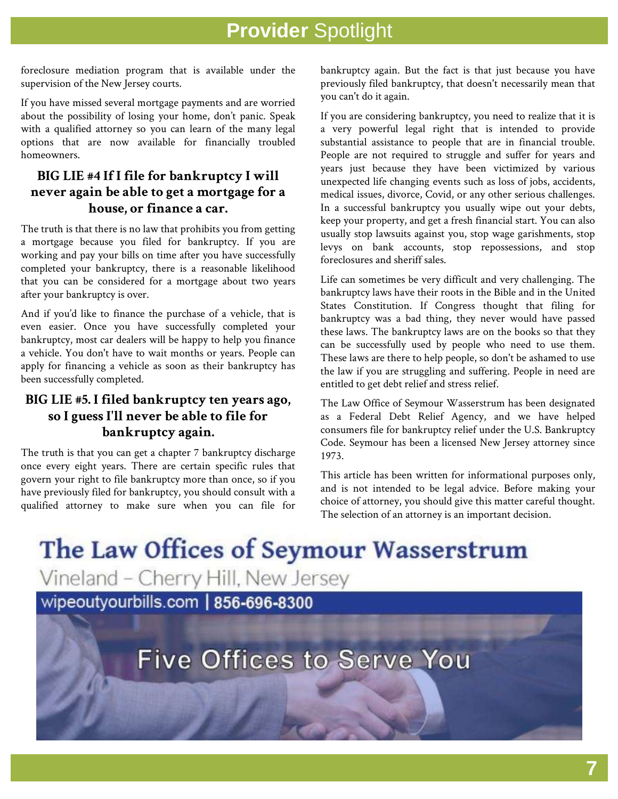foreclosure mediation program that is available under the supervision of the New Jersey courts.

If you have missed several mortgage payments and are worried about the possibility of losing your home, don't panic. Speak with a qualified attorney so you can learn of the many legal options that are now available for financially troubled homeowners.

## **BIG LIE #4 If I file for bankruptcy I will never again be able to get a mortgage for a house, or finance a car.**

The truth is that there is no law that prohibits you from getting a mortgage because you filed for bankruptcy. If you are working and pay your bills on time after you have successfully completed your bankruptcy, there is a reasonable likelihood that you can be considered for a mortgage about two years after your bankruptcy is over.

And if you'd like to finance the purchase of a vehicle, that is even easier. Once you have successfully completed your bankruptcy, most car dealers will be happy to help you finance a vehicle. You don't have to wait months or years. People can apply for financing a vehicle as soon as their bankruptcy has been successfully completed.

## **BIG LIE #5. I filed bankruptcy ten years ago, so I guess I'll never be able to file for bankruptcy again.**

The truth is that you can get a chapter 7 bankruptcy discharge once every eight years. There are certain specific rules that govern your right to file bankruptcy more than once, so if you have previously filed for bankruptcy, you should consult with a qualified attorney to make sure when you can file for bankruptcy again. But the fact is that just because you have previously filed bankruptcy, that doesn't necessarily mean that you can't do it again.

If you are considering bankruptcy, you need to realize that it is a very powerful legal right that is intended to provide substantial assistance to people that are in financial trouble. People are not required to struggle and suffer for years and years just because they have been victimized by various unexpected life changing events such as loss of jobs, accidents, medical issues, divorce, Covid, or any other serious challenges. In a successful bankruptcy you usually wipe out your debts, keep your property, and get a fresh financial start. You can also usually stop lawsuits against you, stop wage garishments, stop levys on bank accounts, stop repossessions, and stop foreclosures and sheriff sales.

Life can sometimes be very difficult and very challenging. The bankruptcy laws have their roots in the Bible and in the United States Constitution. If Congress thought that filing for bankruptcy was a bad thing, they never would have passed these laws. The bankruptcy laws are on the books so that they can be successfully used by people who need to use them. These laws are there to help people, so don't be ashamed to use the law if you are struggling and suffering. People in need are entitled to get debt relief and stress relief.

The Law Office of Seymour Wasserstrum has been designated as a Federal Debt Relief Agency, and we have helped consumers file for bankruptcy relief under the U.S. Bankruptcy Code. Seymour has been a licensed New Jersey attorney since 1973.

This article has been written for informational purposes only, and is not intended to be legal advice. Before making your choice of attorney, you should give this matter careful thought. The selection of an attorney is an important decision.

The Law Offices of Seymour Wasserstrum Vineland - Cherry Hill, New Jersey wipeoutyourbills.com | 856-696-8300

**Five Offices to Serve You**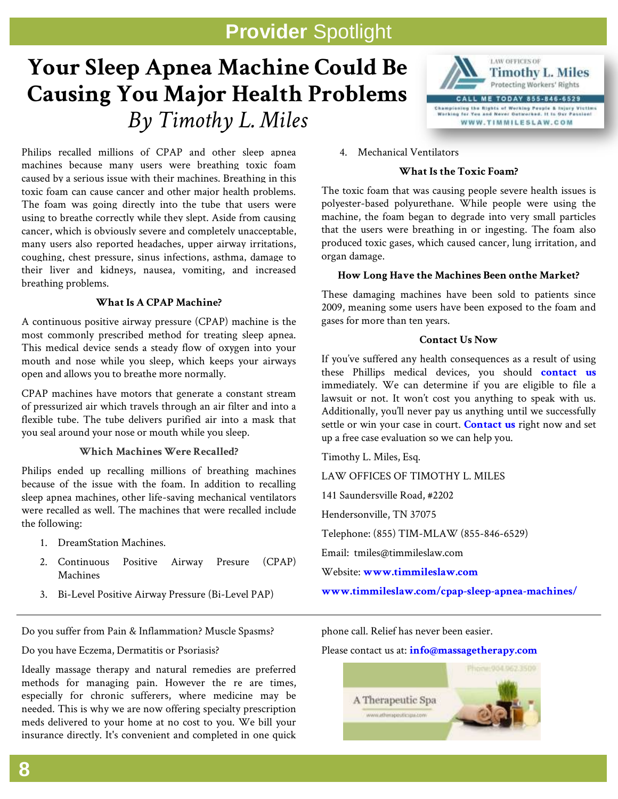# **Your Sleep Apnea Machine Could Be Causing You Major Health Problems** *By Timothy L. Miles*



Philips recalled millions of CPAP and other sleep apnea machines because many users were breathing toxic foam caused by a serious issue with their machines. Breathing in this toxic foam can cause cancer and other major health problems. The foam was going directly into the tube that users were using to breathe correctly while they slept. Aside from causing cancer, which is obviously severe and completely unacceptable, many users also reported headaches, upper airway irritations, coughing, chest pressure, sinus infections, asthma, damage to their liver and kidneys, nausea, vomiting, and increased breathing problems.

### **What Is A CPAP Machine?**

A continuous positive airway pressure (CPAP) machine is the most commonly prescribed method for treating sleep apnea. This medical device sends a steady flow of oxygen into your mouth and nose while you sleep, which keeps your airways open and allows you to breathe more normally.

CPAP machines have motors that generate a constant stream of pressurized air which travels through an air filter and into a flexible tube. The tube delivers purified air into a mask that you seal around your nose or mouth while you sleep.

### **Which Machines Were Recalled?**

Philips ended up recalling millions of breathing machines because of the issue with the foam. In addition to recalling sleep apnea machines, other life-saving mechanical ventilators were recalled as well. The machines that were recalled include the following:

- 1. DreamStation Machines.
- 2. Continuous Positive Airway Presure (CPAP) Machines
- 3. Bi-Level Positive Airway Pressure (Bi-Level PAP)

Do you suffer from Pain & Inflammation? Muscle Spasms?

Do you have Eczema, Dermatitis or Psoriasis?

Ideally massage therapy and natural remedies are preferred methods for managing pain. However the re are times, especially for chronic sufferers, where medicine may be needed. This is why we are now offering specialty prescription meds delivered to your home at no cost to you. We bill your insurance directly. It's convenient and completed in one quick

4. Mechanical [Ventilators](https://timmileslaw.com/)

#### **What Is the Toxic Foam?**

The toxic foam that was causing people severe health issues is polyester-based polyurethane. While people were using the machine, the foam began to degrade into very small particles that the users were breathing in or ingesting. The foam also produced toxic gases, which caused cancer, lung irritation, and organ damage.

### **How Long Have the Machines Been onthe Market?**

These damaging machines have been sold to patients since 2009, meaning some users have been exposed to the foam and gases for more than ten years.

### **Contact Us Now**

If you've suffered any health consequences as a result of using these Phillips medical devices, you should **[contact us](https://timmileslaw.com/contact-us/)** immediately. We can determine if you are eligible to file a lawsuit or not. It won't cost you anything to speak with us. Additionally, you'll never pay us anything until we successfully settle or win your case in court. **[Contact us](https://timmileslaw.com/contact-us/)** right now and set up a free case evaluation so we can help you.

Timothy L. Miles, Esq.

LAW OFFICES OF TIMOTHY L. MILES

141 Saundersville Road, #2202

Hendersonville, TN 37075

Telephone: (855) TIM-MLAW (855-846-6529)

Email: tmiles@timmileslaw.com

Website: **[www.timmileslaw.com](http://www.timmileslaw.com/)**

**[www.timmileslaw.com/cpap-sleep-apnea-machines/](http://www.timmileslaw.com/cpap-sleep-apnea-machines/)**

phone call. Relief has never been easier.

#### Please contact us at: **[info@massagetherapy.com](mailto:info@massagetherapy.com)**

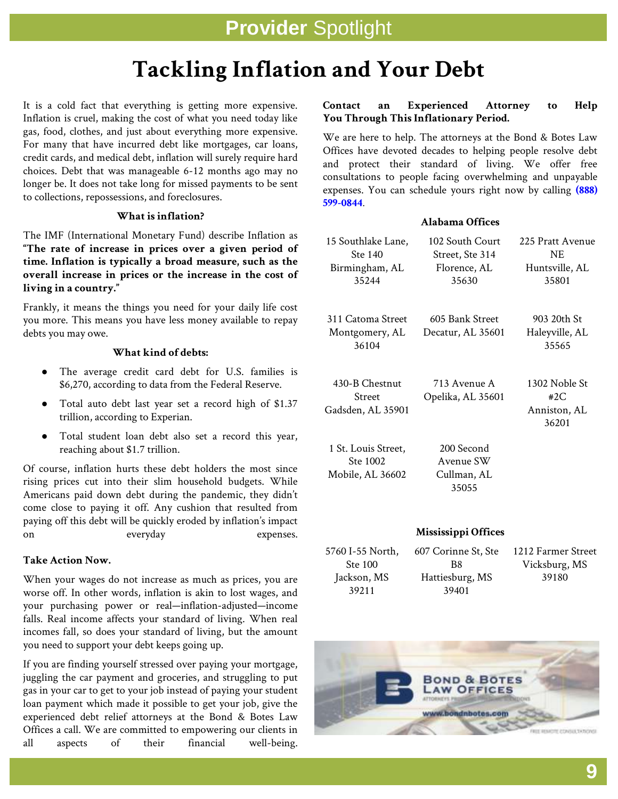# **Tackling Inflation and Your Debt**

gas, food, clothes, and just about everything more expensive. It is a cold fact that everything is getting more expensive. Inflation is cruel, making the cost of what you need today like For many that have incurred debt like mortgages, car loans, credit cards, and medical debt, inflation will surely require hard choices. Debt that was manageable 6-12 months ago may no longer be. It does not take long for missed payments to be sent to collections, repossessions, and foreclosures.

### **What is inflation?**

The IMF (International Monetary Fund) describe Inflation as **"The rate of increase in prices over a given period of time. Inflation is typically a broad measure, such as the overall increase in prices or the increase in the cost of living in a country."**

Frankly, it means the things you need for your daily life cost you more. This means you have less money available to repay debts you may owe.

#### **What kind of debts:**

- The average credit card debt for U.S. families is \$6,270, according to data from the Federal Reserve.
- Total auto debt last year set a record high of \$1.37 trillion, according to Experian.
- Total student loan debt also set a record this year, reaching about \$1.7 trillion.

Of course, inflation hurts these debt holders the most since rising prices cut into their slim household budgets. While Americans paid down debt during the pandemic, they didn't come close to paying it off. Any cushion that resulted from paying off this debt will be quickly eroded by inflation's impact on everyday expenses.

### **Take Action Now.**

When your wages do not increase as much as prices, you are worse off. In other words, inflation is akin to lost wages, and your purchasing power or real—inflation-adjusted—income falls. Real income affects your standard of living. When real incomes fall, so does your standard of living, but the amount you need to support your debt keeps going up.

If you are finding yourself stressed over paying your mortgage, juggling the car payment and groceries, and struggling to put gas in your car to get to your job instead of paying your student loan payment which made it possible to get your job, give the experienced debt relief attorneys at the Bond & Botes Law Offices a call. We are committed to empowering our clients in all aspects of their financial well-being.

### **Contact an Experienced Attorney to Help You Through This Inflationary Period.**

We are here to help. The attorneys at the Bond & Botes Law Offices have devoted decades to helping people resolve debt and protect their standard of living. We offer free consultations to people facing overwhelming and unpayable expenses. You can schedule yours right now by calling **[\(888\)](tel:888-599-0844)  [599-0844](tel:888-599-0844)**.

### **Alabama Offices**

| 15 Southlake Lane,<br>Ste 140<br>Birmingham, AL<br>35244 | 102 South Court<br>Street, Ste 314<br>Florence, AL<br>35630 | 225 Pratt Avenue<br>NE<br>Huntsville, AL<br>35801 |
|----------------------------------------------------------|-------------------------------------------------------------|---------------------------------------------------|
| 311 Catoma Street<br>Montgomery, AL<br>36104             | 605 Bank Street<br>Decatur, AL 35601                        | 903 20th St<br>Haleyville, AL<br>35565            |
| 430-B Chestnut<br>Street<br>Gadsden, AL 35901            | 713 Avenue A<br>Opelika, AL 35601                           | 1302 Noble St<br>#2C<br>Anniston, AL<br>36201     |
| 1 St. Louis Street,<br>Ste 1002<br>Mobile, AL 36602      | 200 Second<br>Avenue SW<br>Cullman, AL<br>35055             |                                                   |
|                                                          | Mississippi Offices                                         |                                                   |

5760 I-55 North, Ste 100 Jackson, MS 39211

607 Corinne St, Ste B8 Hattiesburg, MS 39401

1212 Farmer Street Vicksburg, MS 39180

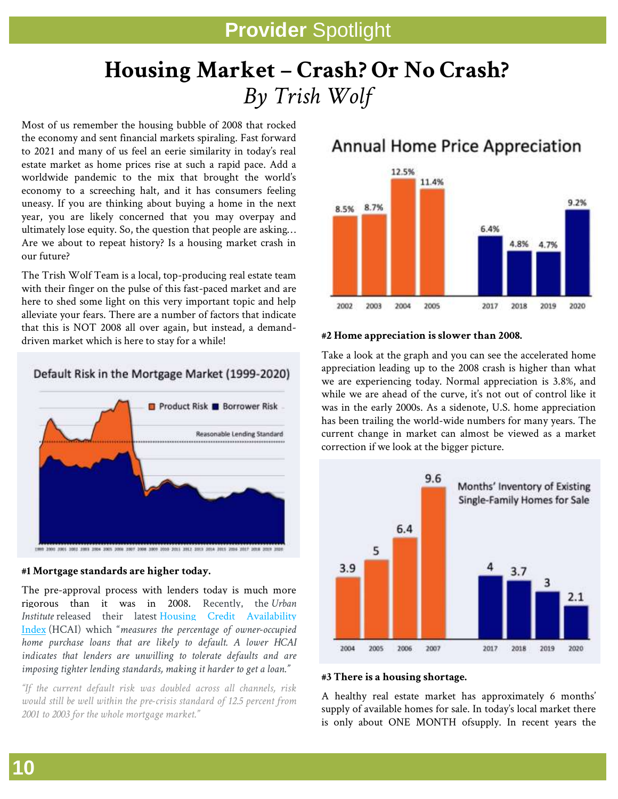# **Housing Market – Crash? Or No Crash?** *By Trish Wolf*

Most of us remember the housing bubble of 2008 that rocked the economy and sent financial markets spiraling. Fast forward to 2021 and many of us feel an eerie similarity in today's real estate market as home prices rise at such a rapid pace. Add a worldwide pandemic to the mix that brought the world's economy to a screeching halt, and it has consumers feeling uneasy. If you are thinking about buying a home in the next year, you are likely concerned that you may overpay and ultimately lose equity. So, the question that people are asking… Are we about to repeat history? Is a housing market crash in our future?

The Trish Wolf Team is a local, top-producing real estate team with their finger on the pulse of this fast-paced market and are here to shed some light on this very important topic and help alleviate your fears. There are a number of factors that indicate that this is NOT 2008 all over again, but instead, a demanddriven market which is here to stay for a while!

### Default Risk in the Mortgage Market (1999-2020)



### **#1 Mortgage standards are higher today.**

The pre-approval process with lenders today is much more rigorous than it was in 2008. Recently, the *Urban Institute* released their latest Housing Credit [Availability](https://www.urban.org/policy-centers/housing-finance-policy-center/projects/housing-credit-availability-index) [Index](https://www.urban.org/policy-centers/housing-finance-policy-center/projects/housing-credit-availability-index) (HCAI) which "*measures the percentage of owner-occupied home purchase loans that are likely to default. A lower HCAI indicates that lenders are unwilling to tolerate defaults and are imposing tighter lending standards, making it harder to get a loan."*

*"If the current default risk was doubled across all channels, risk would still be well within the pre-crisis standard of 12.5 percent from 2001 to 2003 for the whole mortgage market."*

## Annual Home Price Appreciation



### **#2 Home appreciation is slower than 2008.**

Take a look at the graph and you can see the accelerated home appreciation leading up to the 2008 crash is higher than what we are experiencing today. Normal appreciation is 3.8%, and while we are ahead of the curve, it's not out of control like it was in the early 2000s. As a sidenote, U.S. home appreciation has been trailing the world-wide numbers for many years. The current change in market can almost be viewed as a market correction if we look at the bigger picture.



### **#3 There is a housing shortage.**

A healthy real estate market has approximately 6 months' supply of available homes for sale. In today's local market there is only about ONE MONTH ofsupply. In recent years the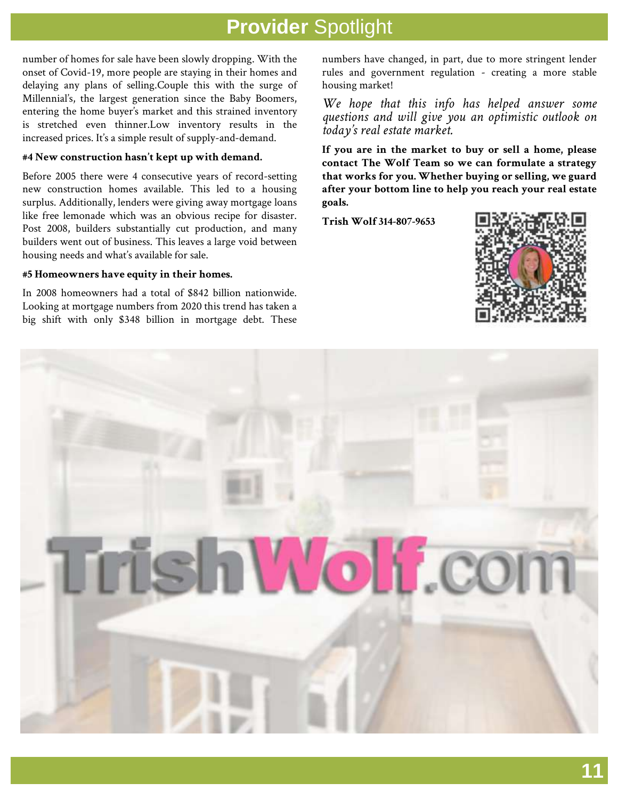number of homes for sale have been slowly dropping. With the onset of Covid-19, more people are staying in their homes and delaying any plans of selling.Couple this with the surge of Millennial's, the largest generation since the Baby Boomers, entering the home buyer's market and this strained inventory is stretched even thinner.Low inventory results in the increased prices. It's a simple result of supply-and-demand.

#### **#4 New construction hasn't kept up with demand.**

Before 2005 there were 4 consecutive years of record-setting new construction homes available. This led to a housing surplus. Additionally, lenders were giving away mortgage loans like free lemonade which was an obvious recipe for disaster. Post 2008, builders substantially cut production, and many builders went out of business. This leaves a large void between housing needs and what's available for sale.

#### **#5 Homeowners have equity in their homes.**

In 2008 homeowners had a total of \$842 billion nationwide. Looking at mortgage numbers from 2020 this trend has taken a big shift with only \$348 billion in mortgage debt. These numbers have changed, in part, due to more stringent lender rules and government regulation - creating a more stable housing market!

*We hope that this info has helped answer some questions and will give you an optimistic outlook on today's real estate market.*

**If you are in the market to buy or sell a home, please contact The Wolf Team so we can formulate a strategy that works for you. Whether buying or selling, we guard after your bottom line to help you reach your real estate goals.**

**Trish Wolf 314-807-9653**



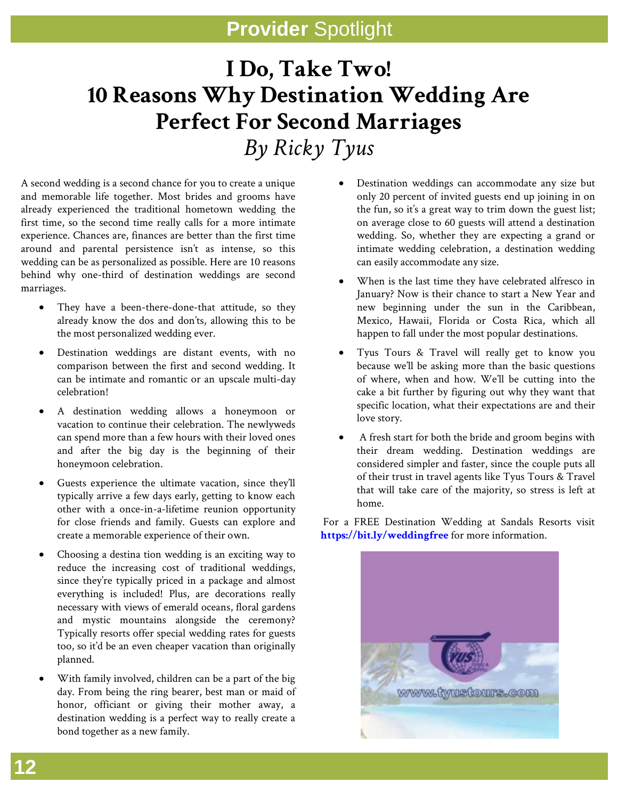# **I Do, Take Two! 10 Reasons Why Destination Wedding Are Perfect For Second Marriages** *By Ricky Tyus*

A second wedding is a second chance for you to create a unique and memorable life together. Most brides and grooms have already experienced the traditional hometown wedding the first time, so the second time really calls for a more intimate experience. Chances are, finances are better than the first time around and parental persistence isn't as intense, so this wedding can be as personalized as possible. Here are 10 reasons behind why one-third of destination weddings are second marriages.

- They have a been-there-done-that attitude, so they already know the dos and don'ts, allowing this to be the most personalized wedding ever.
- Destination weddings are distant events, with no comparison between the first and second wedding. It can be intimate and romantic or an upscale multi-day celebration!
- A destination wedding allows a honeymoon or vacation to continue their celebration. The newlyweds can spend more than a few hours with their loved ones and after the big day is the beginning of their honeymoon celebration.
- Guests experience the ultimate vacation, since they'll typically arrive a few days early, getting to know each other with a once-in-a-lifetime reunion opportunity for close friends and family. Guests can explore and create a memorable experience of their own.
- Choosing a destina tion wedding is an exciting way to reduce the increasing cost of traditional weddings, since they're typically priced in a package and almost everything is included! Plus, are decorations really necessary with views of emerald oceans, floral gardens and mystic mountains alongside the ceremony? Typically resorts offer special wedding rates for guests too, so it'd be an even cheaper vacation than originally planned.
- With family involved, children can be a part of the big day. From being the ring bearer, best man or maid of honor, officiant or giving their mother away, a destination wedding is a perfect way to really create a bond together as a new family.
- Destination weddings can accommodate any size but only 20 percent of invited guests end up joining in on the fun, so it's a great way to trim down the guest list; on average close to 60 guests will attend a destination wedding. So, whether they are expecting a grand or intimate wedding celebration, a destination wedding can easily accommodate any size.
- When is the last time they have celebrated alfresco in January? Now is their chance to start a New Year and new beginning under the sun in the Caribbean, Mexico, Hawaii, Florida or Costa Rica, which all happen to fall under the most popular destinations.
- Tyus Tours & Travel will really get to know you because we'll be asking more than the basic questions of where, when and how. We'll be cutting into the cake a bit further by figuring out why they want that specific location, what their expectations are and their love story.
- A fresh start for both the bride and groom begins with their dream wedding. Destination weddings are considered simpler and faster, since the couple puts all of their trust in travel agents like Tyus Tours & Travel that will take care of the majority, so stress is left at home.

For a FREE Destination Wedding at Sandals Resorts visit **<https://bit.ly/weddingfree>** for more information.

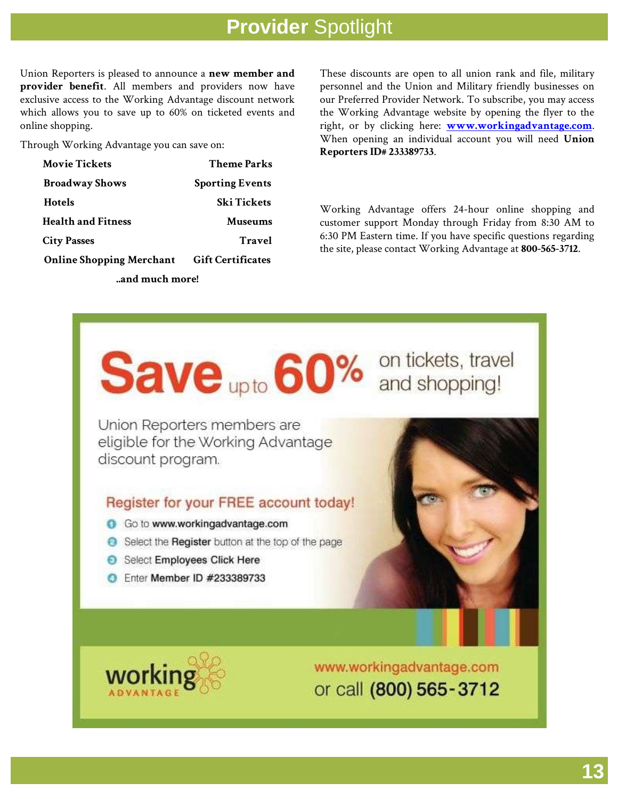Union Reporters is pleased to announce a **new member and provider benefit**. All members and providers now have exclusive access to the Working Advantage discount network which allows you to save up to 60% on ticketed events and online shopping.

Through Working Advantage you can save on:

| <b>Movie Tickets</b>            | <b>Theme Parks</b>       |  |
|---------------------------------|--------------------------|--|
| <b>Broadway Shows</b>           | <b>Sporting Events</b>   |  |
| <b>Hotels</b>                   | <b>Ski Tickets</b>       |  |
| <b>Health and Fitness</b>       | <b>Museums</b>           |  |
| <b>City Passes</b>              | Travel                   |  |
| <b>Online Shopping Merchant</b> | <b>Gift Certificates</b> |  |
| and much more!                  |                          |  |

These discounts are open to all union rank and file, military personnel and the Union and Military friendly businesses on our Preferred Provider Network. To subscribe, you may access the Working Advantage website by opening the flyer to the right, or by clicking here: **[www.workingadvantage.com](https://www.workingadvantage.com/)**. When opening an individual account you will need **Union Reporters ID# 233389733**.

Working Advantage offers 24-hour online shopping and customer support Monday through Friday from 8:30 AM to 6:30 PM Eastern time. If you have specific questions regarding the site, please contact Working Advantage at **800-565-3712**.



Union Reporters members are eligible for the Working Advantage discount program.

### Register for your FREE account today!

- Go to www.workingadvantage.com
- Select the Register button at the top of the page
- Select Employees Click Here
- Enter Member ID #233389733





www.workingadvantage.com or call (800) 565-3712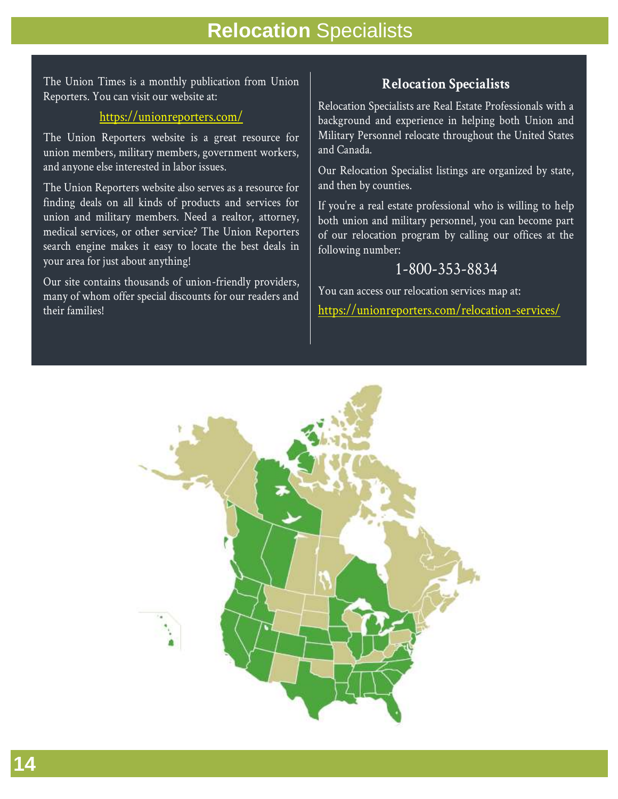## **Relocation** Specialists

The Union Times is a monthly publication from Union Reporters. You can visit our website at:

### <https://unionreporters.com/>

The Union Reporters website is a great resource for union members, military members, government workers, and anyone else interested in labor issues.

The Union Reporters website also serves as a resource for finding deals on all kinds of products and services for union and military members. Need a realtor, attorney, medical services, or other service? The Union Reporters search engine makes it easy to locate the best deals in your area for just about anything!

Our site contains thousands of union-friendly providers, many of whom offer special discounts for our readers and their families!

## **Relocation Specialists**

Relocation Specialists are Real Estate Professionals with a background and experience in helping both Union and Military Personnel relocate throughout the United States and Canada.

Our Relocation Specialist listings are organized by state, and then by counties.

If you're a real estate professional who is willing to help both union and military personnel, you can become part of our relocation program by calling our offices at the following number:

## 1-800-353-8834

You can access our relocation services map at: <https://unionreporters.com/relocation-services/>